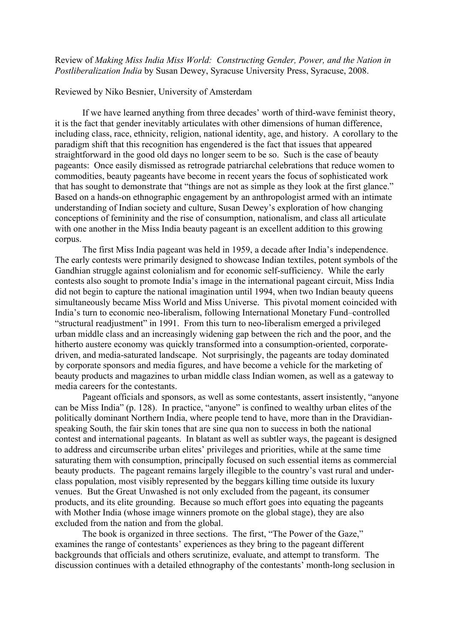Review of *Making Miss India Miss World: Constructing Gender, Power, and the Nation in Postliberalization India* by Susan Dewey, Syracuse University Press, Syracuse, 2008.

## Reviewed by Niko Besnier, University of Amsterdam

If we have learned anything from three decades' worth of third-wave feminist theory, it is the fact that gender inevitably articulates with other dimensions of human difference, including class, race, ethnicity, religion, national identity, age, and history. A corollary to the paradigm shift that this recognition has engendered is the fact that issues that appeared straightforward in the good old days no longer seem to be so. Such is the case of beauty pageants: Once easily dismissed as retrograde patriarchal celebrations that reduce women to commodities, beauty pageants have become in recent years the focus of sophisticated work that has sought to demonstrate that "things are not as simple as they look at the first glance." Based on a hands-on ethnographic engagement by an anthropologist armed with an intimate understanding of Indian society and culture, Susan Dewey's exploration of how changing conceptions of femininity and the rise of consumption, nationalism, and class all articulate with one another in the Miss India beauty pageant is an excellent addition to this growing corpus.

The first Miss India pageant was held in 1959, a decade after India's independence. The early contests were primarily designed to showcase Indian textiles, potent symbols of the Gandhian struggle against colonialism and for economic self-sufficiency. While the early contests also sought to promote India's image in the international pageant circuit, Miss India did not begin to capture the national imagination until 1994, when two Indian beauty queens simultaneously became Miss World and Miss Universe. This pivotal moment coincided with India's turn to economic neo-liberalism, following International Monetary Fund–controlled "structural readjustment" in 1991. From this turn to neo-liberalism emerged a privileged urban middle class and an increasingly widening gap between the rich and the poor, and the hitherto austere economy was quickly transformed into a consumption-oriented, corporatedriven, and media-saturated landscape. Not surprisingly, the pageants are today dominated by corporate sponsors and media figures, and have become a vehicle for the marketing of beauty products and magazines to urban middle class Indian women, as well as a gateway to media careers for the contestants.

Pageant officials and sponsors, as well as some contestants, assert insistently, "anyone can be Miss India" (p. 128). In practice, "anyone" is confined to wealthy urban elites of the politically dominant Northern India, where people tend to have, more than in the Dravidianspeaking South, the fair skin tones that are sine qua non to success in both the national contest and international pageants. In blatant as well as subtler ways, the pageant is designed to address and circumscribe urban elites' privileges and priorities, while at the same time saturating them with consumption, principally focused on such essential items as commercial beauty products. The pageant remains largely illegible to the country's vast rural and underclass population, most visibly represented by the beggars killing time outside its luxury venues. But the Great Unwashed is not only excluded from the pageant, its consumer products, and its elite grounding. Because so much effort goes into equating the pageants with Mother India (whose image winners promote on the global stage), they are also excluded from the nation and from the global.

The book is organized in three sections. The first, "The Power of the Gaze," examines the range of contestants' experiences as they bring to the pageant different backgrounds that officials and others scrutinize, evaluate, and attempt to transform. The discussion continues with a detailed ethnography of the contestants' month-long seclusion in